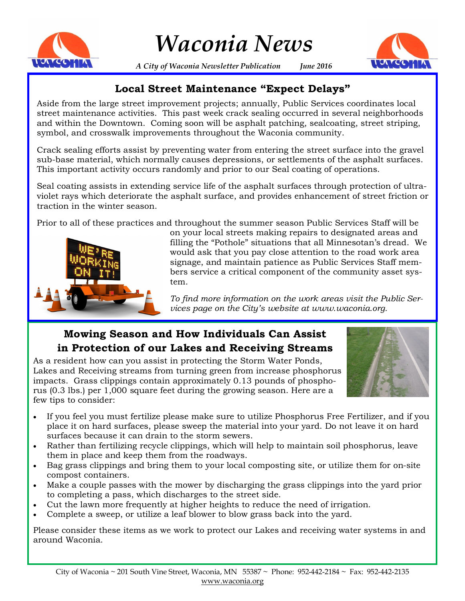

# *Waconia News*

**HOLLOWIN** 

*A City of Waconia Newsletter Publication June 2016*

## **Local Street Maintenance "Expect Delays"**

Aside from the large street improvement projects; annually, Public Services coordinates local street maintenance activities. This past week crack sealing occurred in several neighborhoods and within the Downtown. Coming soon will be asphalt patching, sealcoating, street striping, symbol, and crosswalk improvements throughout the Waconia community.

Crack sealing efforts assist by preventing water from entering the street surface into the gravel sub-base material, which normally causes depressions, or settlements of the asphalt surfaces. This important activity occurs randomly and prior to our Seal coating of operations.

Seal coating assists in extending service life of the asphalt surfaces through protection of ultraviolet rays which deteriorate the asphalt surface, and provides enhancement of street friction or traction in the winter season.

Prior to all of these practices and throughout the summer season Public Services Staff will be



on your local streets making repairs to designated areas and filling the "Pothole" situations that all Minnesotan's dread. We would ask that you pay close attention to the road work area signage, and maintain patience as Public Services Staff members service a critical component of the community asset system.

*To find more information on the work areas visit the Public Services page on the City's website at www.waconia.org.* 

# **Mowing Season and How Individuals Can Assist in Protection of our Lakes and Receiving Streams**

As a resident how can you assist in protecting the Storm Water Ponds, Lakes and Receiving streams from turning green from increase phosphorus impacts. Grass clippings contain approximately 0.13 pounds of phosphorus (0.3 lbs.) per 1,000 square feet during the growing season. Here are a few tips to consider:



- If you feel you must fertilize please make sure to utilize Phosphorus Free Fertilizer, and if you place it on hard surfaces, please sweep the material into your yard. Do not leave it on hard surfaces because it can drain to the storm sewers.
- Rather than fertilizing recycle clippings, which will help to maintain soil phosphorus, leave them in place and keep them from the roadways.
- Bag grass clippings and bring them to your local composting site, or utilize them for on-site compost containers.
- Make a couple passes with the mower by discharging the grass clippings into the yard prior to completing a pass, which discharges to the street side.
- Cut the lawn more frequently at higher heights to reduce the need of irrigation.
- Complete a sweep, or utilize a leaf blower to blow grass back into the yard.

Please consider these items as we work to protect our Lakes and receiving water systems in and around Waconia.